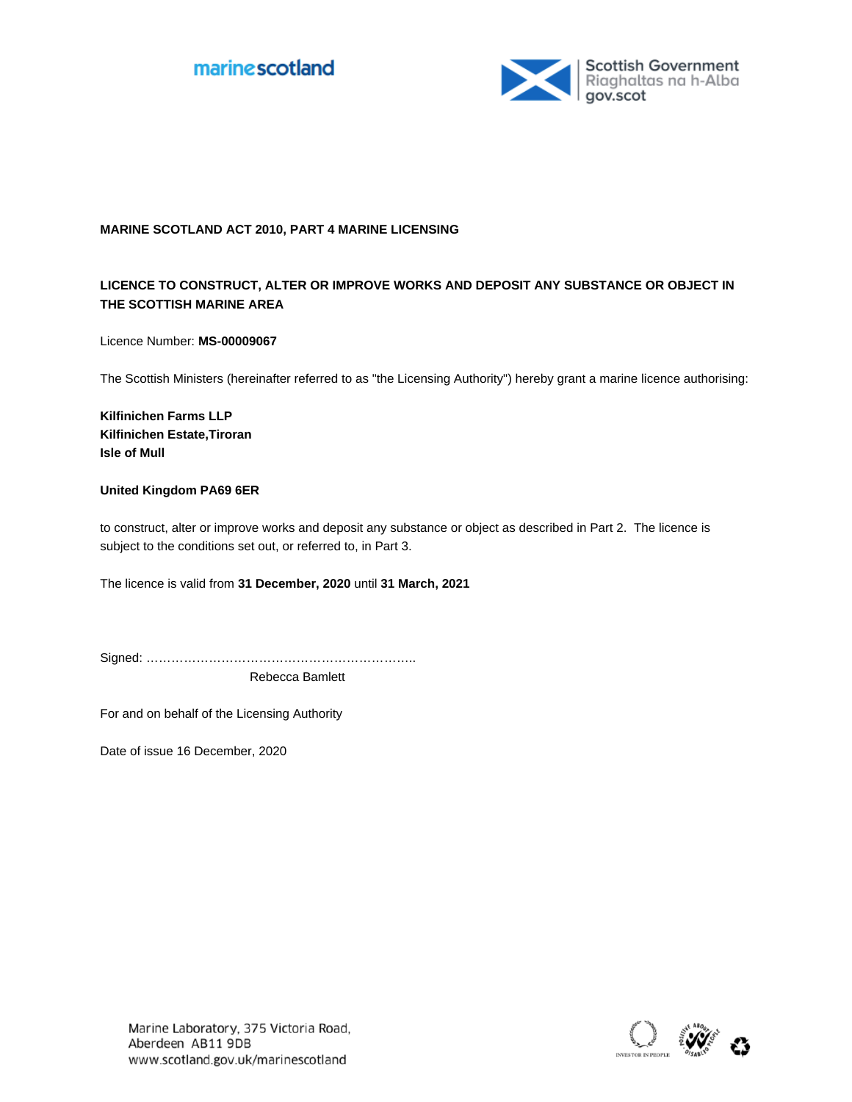



### **MARINE SCOTLAND ACT 2010, PART 4 MARINE LICENSING**

# **LICENCE TO CONSTRUCT, ALTER OR IMPROVE WORKS AND DEPOSIT ANY SUBSTANCE OR OBJECT IN THE SCOTTISH MARINE AREA**

Licence Number: **MS-00009067**

The Scottish Ministers (hereinafter referred to as "the Licensing Authority") hereby grant a marine licence authorising:

**Kilfinichen Farms LLP Kilfinichen Estate,Tiroran Isle of Mull**

#### **United Kingdom PA69 6ER**

to construct, alter or improve works and deposit any substance or object as described in Part 2. The licence is subject to the conditions set out, or referred to, in Part 3.

The licence is valid from **31 December, 2020** until **31 March, 2021**

Signed: ………………………………………………………..

Rebecca Bamlett

For and on behalf of the Licensing Authority

Date of issue 16 December, 2020

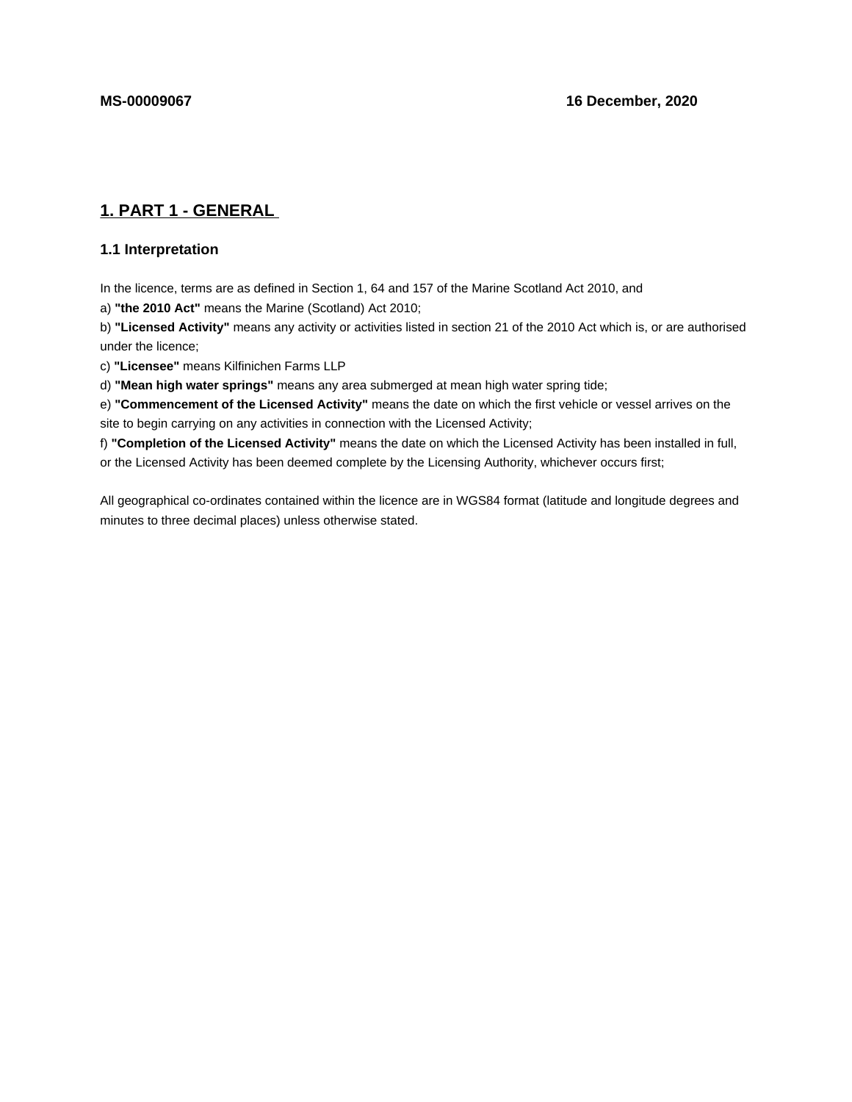# **1. PART 1 - GENERAL**

## **1.1 Interpretation**

In the licence, terms are as defined in Section 1, 64 and 157 of the Marine Scotland Act 2010, and

a) **"the 2010 Act"** means the Marine (Scotland) Act 2010;

b) **"Licensed Activity"** means any activity or activities listed in section 21 of the 2010 Act which is, or are authorised under the licence;

c) **"Licensee"** means Kilfinichen Farms LLP

d) **"Mean high water springs"** means any area submerged at mean high water spring tide;

e) **"Commencement of the Licensed Activity"** means the date on which the first vehicle or vessel arrives on the site to begin carrying on any activities in connection with the Licensed Activity;

f) **"Completion of the Licensed Activity"** means the date on which the Licensed Activity has been installed in full, or the Licensed Activity has been deemed complete by the Licensing Authority, whichever occurs first;

All geographical co-ordinates contained within the licence are in WGS84 format (latitude and longitude degrees and minutes to three decimal places) unless otherwise stated.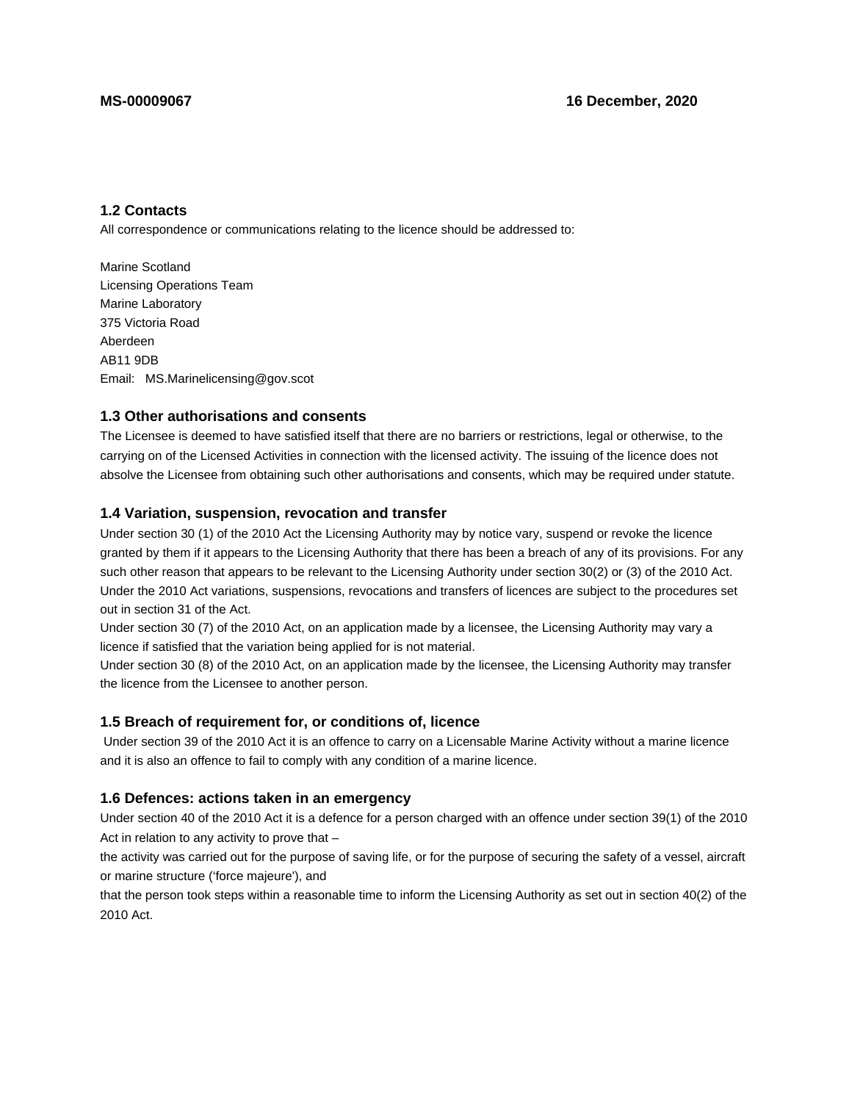## **1.2 Contacts**

All correspondence or communications relating to the licence should be addressed to:

Marine Scotland Licensing Operations Team Marine Laboratory 375 Victoria Road Aberdeen AB11 9DB Email: MS.Marinelicensing@gov.scot

#### **1.3 Other authorisations and consents**

The Licensee is deemed to have satisfied itself that there are no barriers or restrictions, legal or otherwise, to the carrying on of the Licensed Activities in connection with the licensed activity. The issuing of the licence does not absolve the Licensee from obtaining such other authorisations and consents, which may be required under statute.

#### **1.4 Variation, suspension, revocation and transfer**

Under section 30 (1) of the 2010 Act the Licensing Authority may by notice vary, suspend or revoke the licence granted by them if it appears to the Licensing Authority that there has been a breach of any of its provisions. For any such other reason that appears to be relevant to the Licensing Authority under section 30(2) or (3) of the 2010 Act. Under the 2010 Act variations, suspensions, revocations and transfers of licences are subject to the procedures set out in section 31 of the Act.

Under section 30 (7) of the 2010 Act, on an application made by a licensee, the Licensing Authority may vary a licence if satisfied that the variation being applied for is not material.

Under section 30 (8) of the 2010 Act, on an application made by the licensee, the Licensing Authority may transfer the licence from the Licensee to another person.

#### **1.5 Breach of requirement for, or conditions of, licence**

 Under section 39 of the 2010 Act it is an offence to carry on a Licensable Marine Activity without a marine licence and it is also an offence to fail to comply with any condition of a marine licence.

#### **1.6 Defences: actions taken in an emergency**

Under section 40 of the 2010 Act it is a defence for a person charged with an offence under section 39(1) of the 2010 Act in relation to any activity to prove that –

the activity was carried out for the purpose of saving life, or for the purpose of securing the safety of a vessel, aircraft or marine structure ('force majeure'), and

that the person took steps within a reasonable time to inform the Licensing Authority as set out in section 40(2) of the 2010 Act.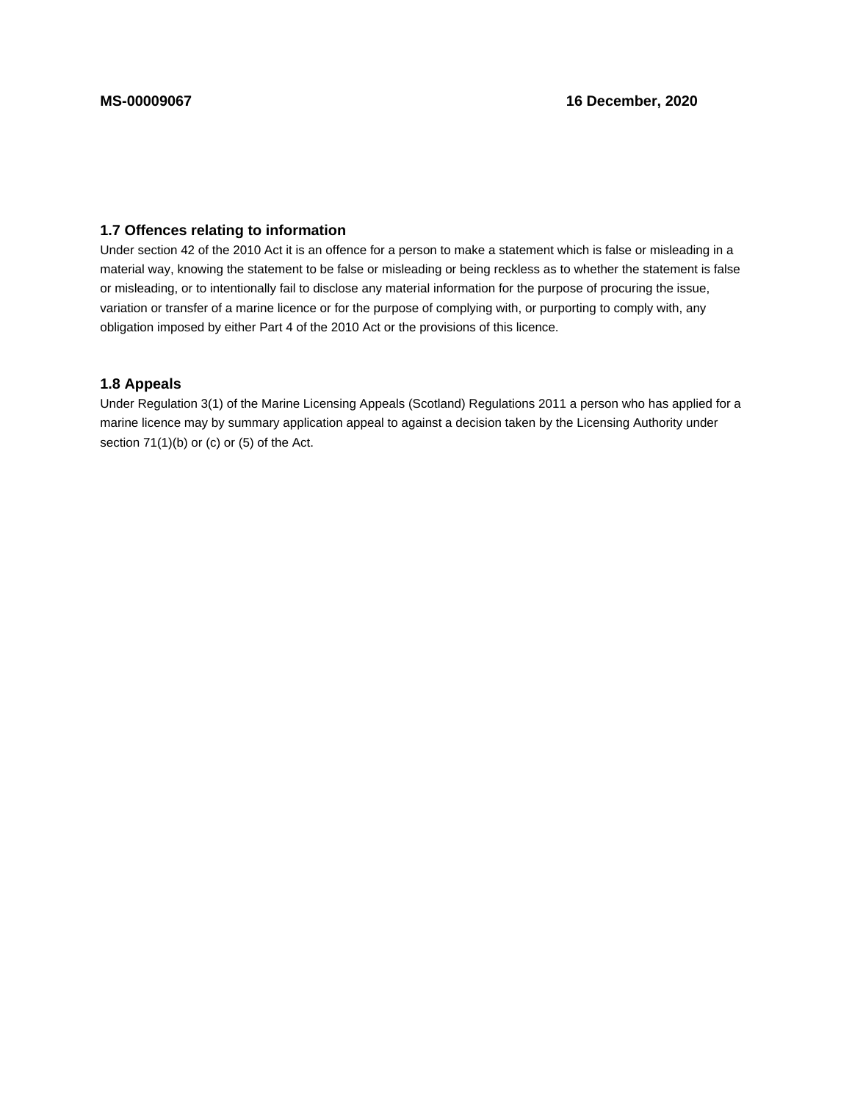# **1.7 Offences relating to information**

Under section 42 of the 2010 Act it is an offence for a person to make a statement which is false or misleading in a material way, knowing the statement to be false or misleading or being reckless as to whether the statement is false or misleading, or to intentionally fail to disclose any material information for the purpose of procuring the issue, variation or transfer of a marine licence or for the purpose of complying with, or purporting to comply with, any obligation imposed by either Part 4 of the 2010 Act or the provisions of this licence.

### **1.8 Appeals**

Under Regulation 3(1) of the Marine Licensing Appeals (Scotland) Regulations 2011 a person who has applied for a marine licence may by summary application appeal to against a decision taken by the Licensing Authority under section 71(1)(b) or (c) or (5) of the Act.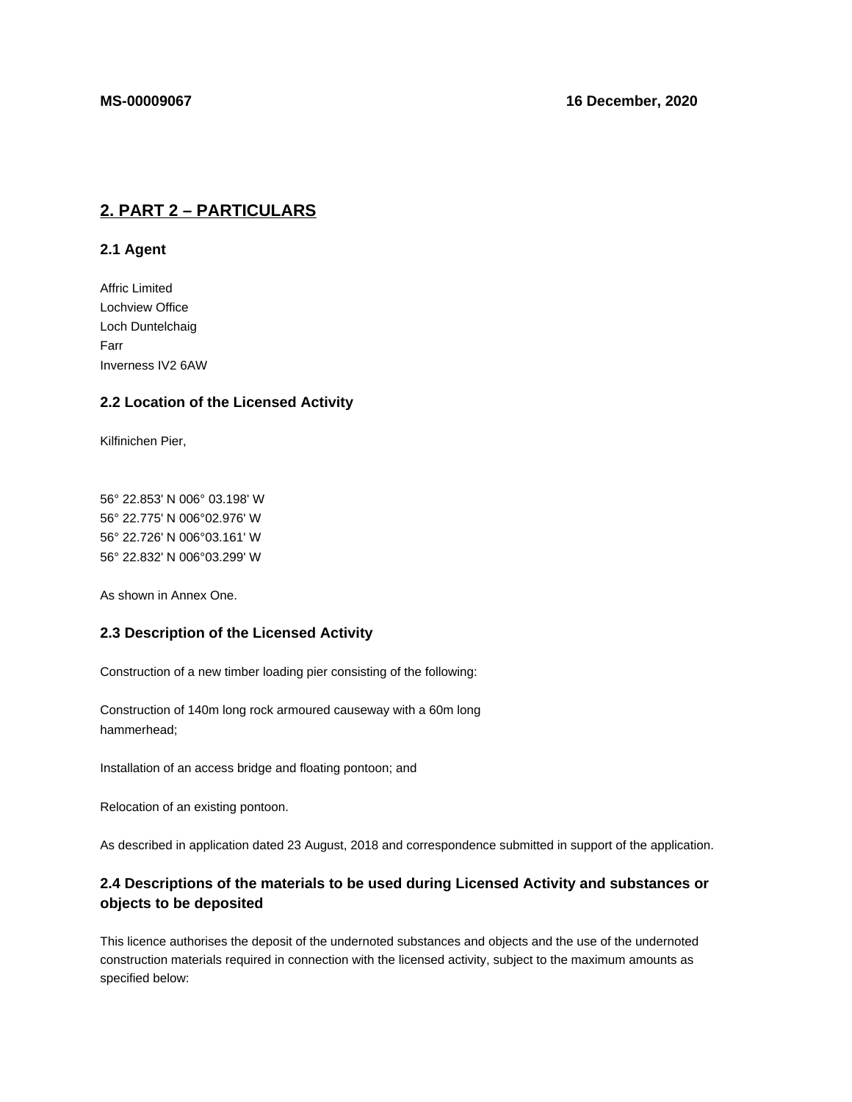# **2. PART 2 – PARTICULARS**

### **2.1 Agent**

Affric Limited Lochview Office Loch Duntelchaig Farr Inverness IV2 6AW

## **2.2 Location of the Licensed Activity**

Kilfinichen Pier,

56° 22.853' N 006° 03.198' W 56° 22.775' N 006°02.976' W 56° 22.726' N 006°03.161' W 56° 22.832' N 006°03.299' W

As shown in Annex One.

### **2.3 Description of the Licensed Activity**

Construction of a new timber loading pier consisting of the following:

Construction of 140m long rock armoured causeway with a 60m long hammerhead;

Installation of an access bridge and floating pontoon; and

Relocation of an existing pontoon.

As described in application dated 23 August, 2018 and correspondence submitted in support of the application.

# **2.4 Descriptions of the materials to be used during Licensed Activity and substances or objects to be deposited**

This licence authorises the deposit of the undernoted substances and objects and the use of the undernoted construction materials required in connection with the licensed activity, subject to the maximum amounts as specified below: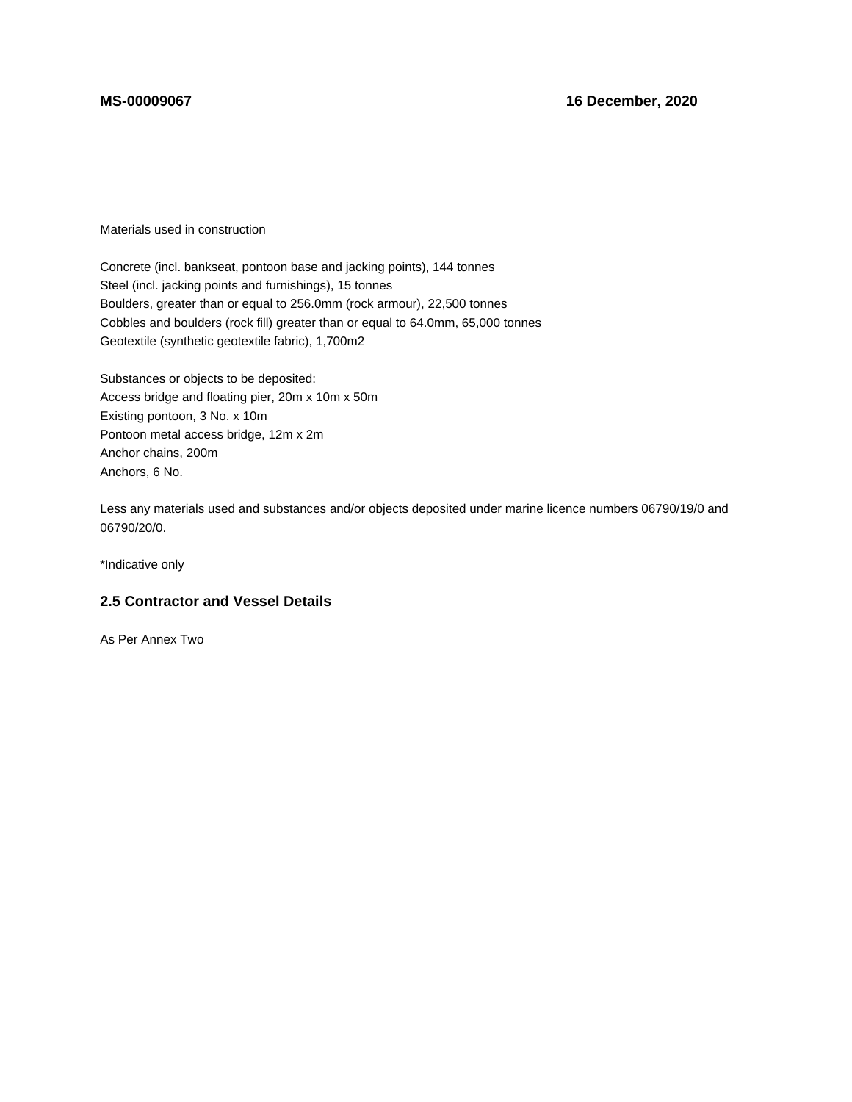Materials used in construction

Concrete (incl. bankseat, pontoon base and jacking points), 144 tonnes Steel (incl. jacking points and furnishings), 15 tonnes Boulders, greater than or equal to 256.0mm (rock armour), 22,500 tonnes Cobbles and boulders (rock fill) greater than or equal to 64.0mm, 65,000 tonnes Geotextile (synthetic geotextile fabric), 1,700m2

Substances or objects to be deposited: Access bridge and floating pier, 20m x 10m x 50m Existing pontoon, 3 No. x 10m Pontoon metal access bridge, 12m x 2m Anchor chains, 200m Anchors, 6 No.

Less any materials used and substances and/or objects deposited under marine licence numbers 06790/19/0 and 06790/20/0.

\*Indicative only

## **2.5 Contractor and Vessel Details**

As Per Annex Two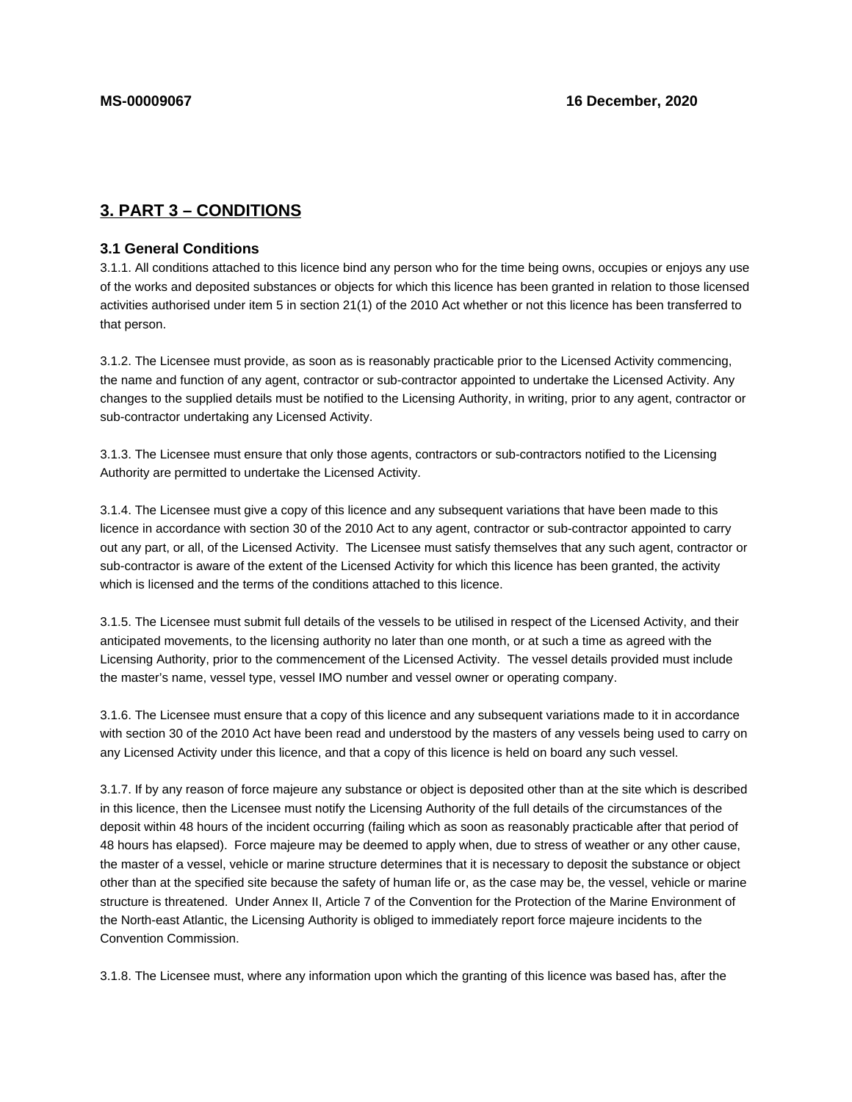# **3. PART 3 – CONDITIONS**

#### **3.1 General Conditions**

3.1.1. All conditions attached to this licence bind any person who for the time being owns, occupies or enjoys any use of the works and deposited substances or objects for which this licence has been granted in relation to those licensed activities authorised under item 5 in section 21(1) of the 2010 Act whether or not this licence has been transferred to that person.

3.1.2. The Licensee must provide, as soon as is reasonably practicable prior to the Licensed Activity commencing, the name and function of any agent, contractor or sub-contractor appointed to undertake the Licensed Activity. Any changes to the supplied details must be notified to the Licensing Authority, in writing, prior to any agent, contractor or sub-contractor undertaking any Licensed Activity.

3.1.3. The Licensee must ensure that only those agents, contractors or sub-contractors notified to the Licensing Authority are permitted to undertake the Licensed Activity.

3.1.4. The Licensee must give a copy of this licence and any subsequent variations that have been made to this licence in accordance with section 30 of the 2010 Act to any agent, contractor or sub-contractor appointed to carry out any part, or all, of the Licensed Activity. The Licensee must satisfy themselves that any such agent, contractor or sub-contractor is aware of the extent of the Licensed Activity for which this licence has been granted, the activity which is licensed and the terms of the conditions attached to this licence.

3.1.5. The Licensee must submit full details of the vessels to be utilised in respect of the Licensed Activity, and their anticipated movements, to the licensing authority no later than one month, or at such a time as agreed with the Licensing Authority, prior to the commencement of the Licensed Activity. The vessel details provided must include the master's name, vessel type, vessel IMO number and vessel owner or operating company.

3.1.6. The Licensee must ensure that a copy of this licence and any subsequent variations made to it in accordance with section 30 of the 2010 Act have been read and understood by the masters of any vessels being used to carry on any Licensed Activity under this licence, and that a copy of this licence is held on board any such vessel.

3.1.7. If by any reason of force majeure any substance or object is deposited other than at the site which is described in this licence, then the Licensee must notify the Licensing Authority of the full details of the circumstances of the deposit within 48 hours of the incident occurring (failing which as soon as reasonably practicable after that period of 48 hours has elapsed). Force majeure may be deemed to apply when, due to stress of weather or any other cause, the master of a vessel, vehicle or marine structure determines that it is necessary to deposit the substance or object other than at the specified site because the safety of human life or, as the case may be, the vessel, vehicle or marine structure is threatened. Under Annex II, Article 7 of the Convention for the Protection of the Marine Environment of the North-east Atlantic, the Licensing Authority is obliged to immediately report force majeure incidents to the Convention Commission.

3.1.8. The Licensee must, where any information upon which the granting of this licence was based has, after the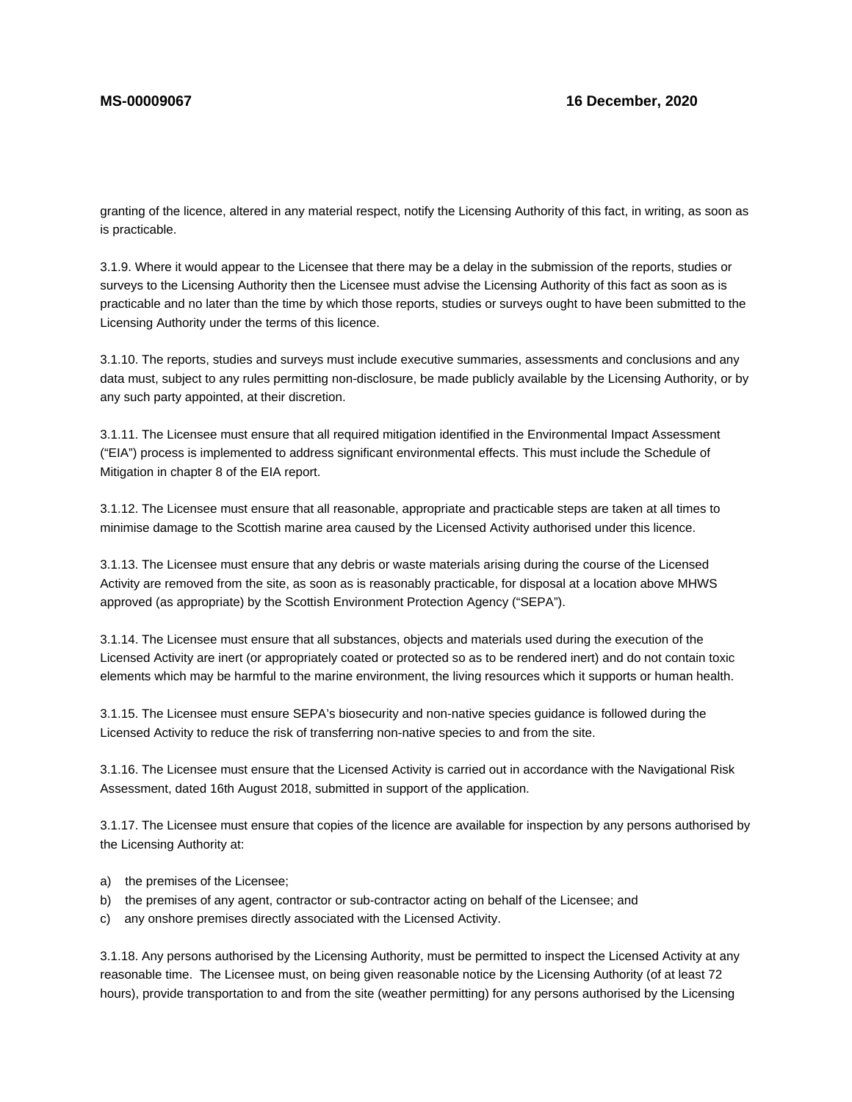granting of the licence, altered in any material respect, notify the Licensing Authority of this fact, in writing, as soon as is practicable.

3.1.9. Where it would appear to the Licensee that there may be a delay in the submission of the reports, studies or surveys to the Licensing Authority then the Licensee must advise the Licensing Authority of this fact as soon as is practicable and no later than the time by which those reports, studies or surveys ought to have been submitted to the Licensing Authority under the terms of this licence.

3.1.10. The reports, studies and surveys must include executive summaries, assessments and conclusions and any data must, subject to any rules permitting non-disclosure, be made publicly available by the Licensing Authority, or by any such party appointed, at their discretion.

3.1.11. The Licensee must ensure that all required mitigation identified in the Environmental Impact Assessment ("EIA") process is implemented to address significant environmental effects. This must include the Schedule of Mitigation in chapter 8 of the EIA report.

3.1.12. The Licensee must ensure that all reasonable, appropriate and practicable steps are taken at all times to minimise damage to the Scottish marine area caused by the Licensed Activity authorised under this licence.

3.1.13. The Licensee must ensure that any debris or waste materials arising during the course of the Licensed Activity are removed from the site, as soon as is reasonably practicable, for disposal at a location above MHWS approved (as appropriate) by the Scottish Environment Protection Agency ("SEPA").

3.1.14. The Licensee must ensure that all substances, objects and materials used during the execution of the Licensed Activity are inert (or appropriately coated or protected so as to be rendered inert) and do not contain toxic elements which may be harmful to the marine environment, the living resources which it supports or human health.

3.1.15. The Licensee must ensure SEPA's biosecurity and non-native species guidance is followed during the Licensed Activity to reduce the risk of transferring non-native species to and from the site.

3.1.16. The Licensee must ensure that the Licensed Activity is carried out in accordance with the Navigational Risk Assessment, dated 16th August 2018, submitted in support of the application.

3.1.17. The Licensee must ensure that copies of the licence are available for inspection by any persons authorised by the Licensing Authority at:

- a) the premises of the Licensee;
- b) the premises of any agent, contractor or sub-contractor acting on behalf of the Licensee; and
- c) any onshore premises directly associated with the Licensed Activity.

3.1.18. Any persons authorised by the Licensing Authority, must be permitted to inspect the Licensed Activity at any reasonable time. The Licensee must, on being given reasonable notice by the Licensing Authority (of at least 72 hours), provide transportation to and from the site (weather permitting) for any persons authorised by the Licensing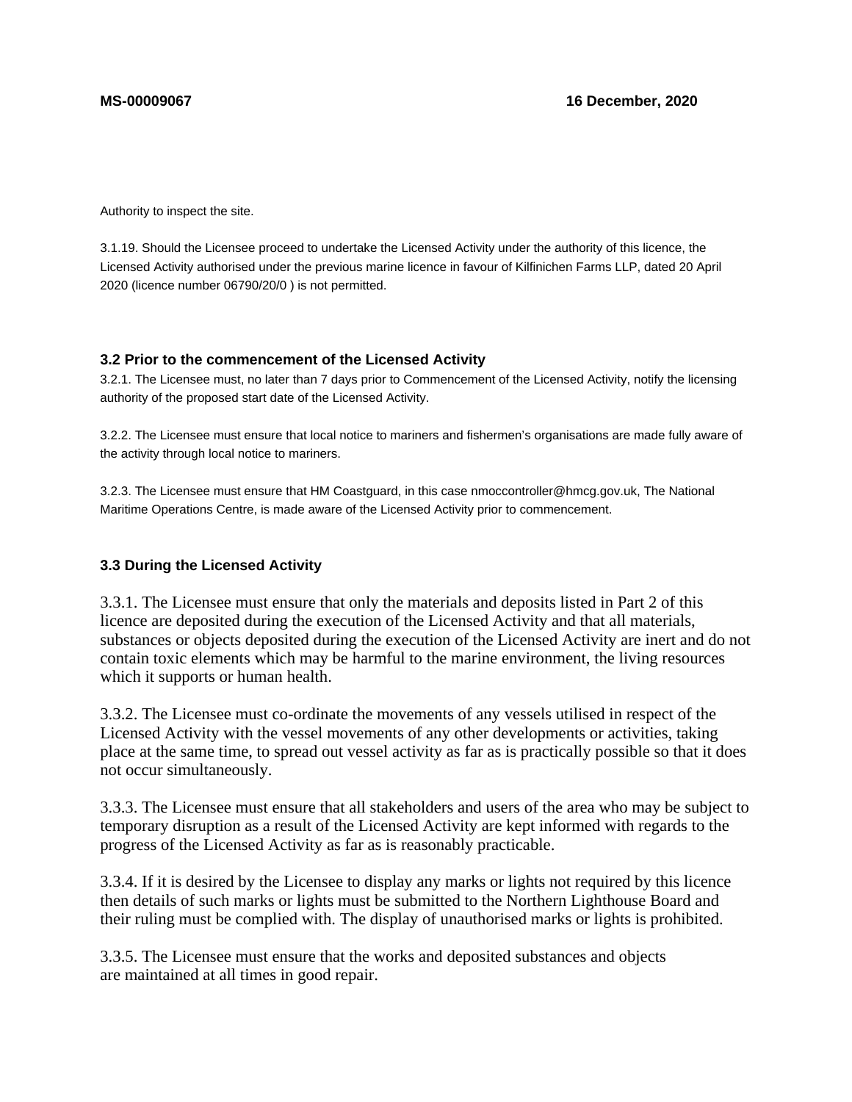Authority to inspect the site.

3.1.19. Should the Licensee proceed to undertake the Licensed Activity under the authority of this licence, the Licensed Activity authorised under the previous marine licence in favour of Kilfinichen Farms LLP, dated 20 April 2020 (licence number 06790/20/0 ) is not permitted.

## **3.2 Prior to the commencement of the Licensed Activity**

3.2.1. The Licensee must, no later than 7 days prior to Commencement of the Licensed Activity, notify the licensing authority of the proposed start date of the Licensed Activity.

3.2.2. The Licensee must ensure that local notice to mariners and fishermen's organisations are made fully aware of the activity through local notice to mariners.

3.2.3. The Licensee must ensure that HM Coastguard, in this case nmoccontroller@hmcg.gov.uk, The National Maritime Operations Centre, is made aware of the Licensed Activity prior to commencement.

# **3.3 During the Licensed Activity**

3.3.1. The Licensee must ensure that only the materials and deposits listed in Part 2 of this licence are deposited during the execution of the Licensed Activity and that all materials, substances or objects deposited during the execution of the Licensed Activity are inert and do not contain toxic elements which may be harmful to the marine environment, the living resources which it supports or human health.

3.3.2. The Licensee must co-ordinate the movements of any vessels utilised in respect of the Licensed Activity with the vessel movements of any other developments or activities, taking place at the same time, to spread out vessel activity as far as is practically possible so that it does not occur simultaneously.

3.3.3. The Licensee must ensure that all stakeholders and users of the area who may be subject to temporary disruption as a result of the Licensed Activity are kept informed with regards to the progress of the Licensed Activity as far as is reasonably practicable.

3.3.4. If it is desired by the Licensee to display any marks or lights not required by this licence then details of such marks or lights must be submitted to the Northern Lighthouse Board and their ruling must be complied with. The display of unauthorised marks or lights is prohibited.

3.3.5. The Licensee must ensure that the works and deposited substances and objects are maintained at all times in good repair.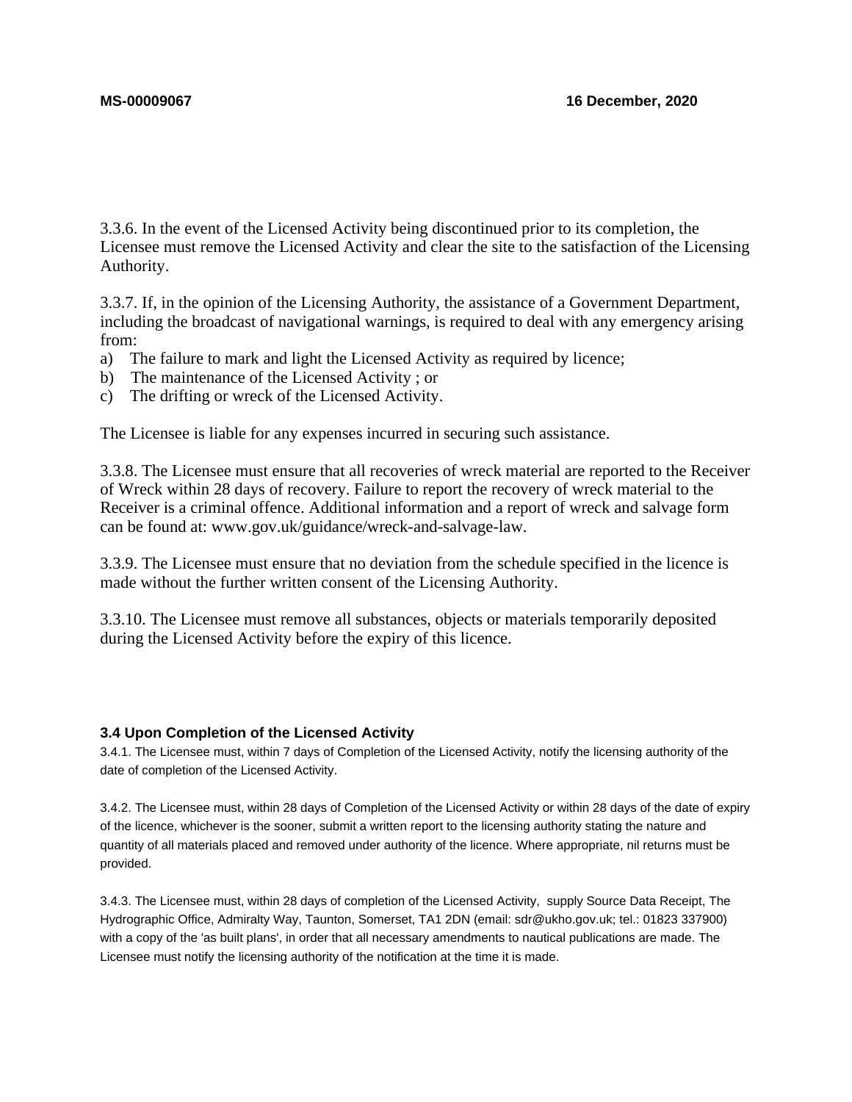3.3.6. In the event of the Licensed Activity being discontinued prior to its completion, the Licensee must remove the Licensed Activity and clear the site to the satisfaction of the Licensing Authority.

3.3.7. If, in the opinion of the Licensing Authority, the assistance of a Government Department, including the broadcast of navigational warnings, is required to deal with any emergency arising from:

- a) The failure to mark and light the Licensed Activity as required by licence;
- b) The maintenance of the Licensed Activity ; or
- c) The drifting or wreck of the Licensed Activity.

The Licensee is liable for any expenses incurred in securing such assistance.

3.3.8. The Licensee must ensure that all recoveries of wreck material are reported to the Receiver of Wreck within 28 days of recovery. Failure to report the recovery of wreck material to the Receiver is a criminal offence. Additional information and a report of wreck and salvage form can be found at: www.gov.uk/guidance/wreck-and-salvage-law.

3.3.9. The Licensee must ensure that no deviation from the schedule specified in the licence is made without the further written consent of the Licensing Authority.

3.3.10. The Licensee must remove all substances, objects or materials temporarily deposited during the Licensed Activity before the expiry of this licence.

### **3.4 Upon Completion of the Licensed Activity**

3.4.1. The Licensee must, within 7 days of Completion of the Licensed Activity, notify the licensing authority of the date of completion of the Licensed Activity.

3.4.2. The Licensee must, within 28 days of Completion of the Licensed Activity or within 28 days of the date of expiry of the licence, whichever is the sooner, submit a written report to the licensing authority stating the nature and quantity of all materials placed and removed under authority of the licence. Where appropriate, nil returns must be provided.

3.4.3. The Licensee must, within 28 days of completion of the Licensed Activity, supply Source Data Receipt, The Hydrographic Office, Admiralty Way, Taunton, Somerset, TA1 2DN (email: sdr@ukho.gov.uk; tel.: 01823 337900) with a copy of the 'as built plans', in order that all necessary amendments to nautical publications are made. The Licensee must notify the licensing authority of the notification at the time it is made.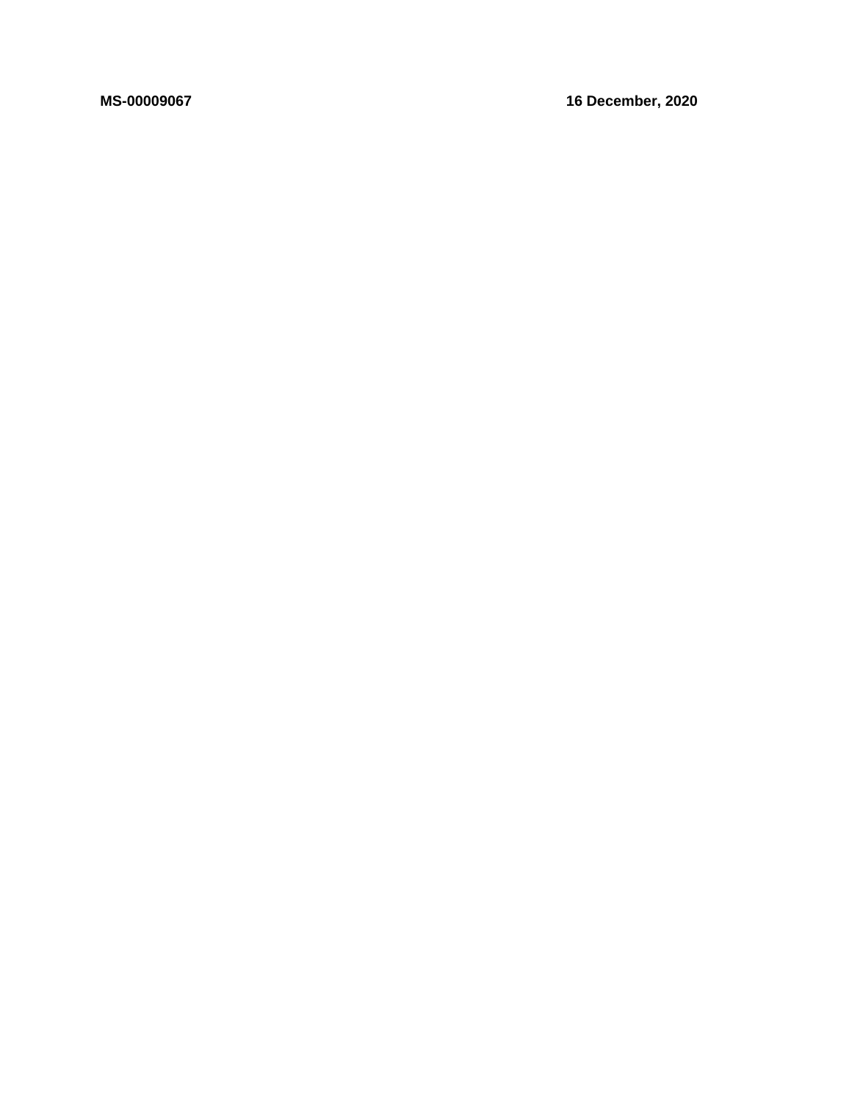**MS-00009067 16 December, 2020**